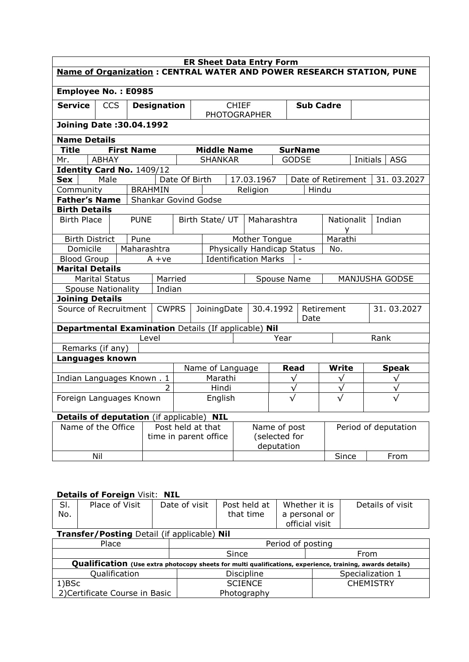| <b>ER Sheet Data Entry Form</b>                                             |                                   |                   |                      |                          |                                      |              |                     |                          |                   |                    |                      |            |  |
|-----------------------------------------------------------------------------|-----------------------------------|-------------------|----------------------|--------------------------|--------------------------------------|--------------|---------------------|--------------------------|-------------------|--------------------|----------------------|------------|--|
| <b>Name of Organization: CENTRAL WATER AND POWER RESEARCH STATION, PUNE</b> |                                   |                   |                      |                          |                                      |              |                     |                          |                   |                    |                      |            |  |
| <b>Employee No.: E0985</b>                                                  |                                   |                   |                      |                          |                                      |              |                     |                          |                   |                    |                      |            |  |
| <b>Service</b>                                                              | <b>CCS</b>                        |                   | <b>Designation</b>   |                          |                                      | <b>CHIEF</b> |                     |                          | <b>Sub Cadre</b>  |                    |                      |            |  |
|                                                                             |                                   |                   |                      |                          |                                      |              | <b>PHOTOGRAPHER</b> |                          |                   |                    |                      |            |  |
| <b>Joining Date: 30.04.1992</b>                                             |                                   |                   |                      |                          |                                      |              |                     |                          |                   |                    |                      |            |  |
| <b>Name Details</b>                                                         |                                   |                   |                      |                          |                                      |              |                     |                          |                   |                    |                      |            |  |
| <b>Title</b>                                                                |                                   | <b>First Name</b> |                      |                          | <b>Middle Name</b><br><b>SurName</b> |              |                     |                          |                   |                    |                      |            |  |
| Mr.                                                                         | <b>ABHAY</b>                      |                   |                      |                          | <b>SHANKAR</b>                       |              |                     |                          | <b>GODSE</b>      |                    | Initials             | <b>ASG</b> |  |
| Identity Card No. 1409/12                                                   |                                   |                   |                      |                          |                                      |              |                     |                          |                   |                    |                      |            |  |
| <b>Sex</b>                                                                  | Male                              |                   |                      |                          | Date Of Birth<br>17.03.1967          |              |                     |                          |                   | Date of Retirement |                      | 31.03.2027 |  |
| Community                                                                   | <b>BRAHMIN</b>                    |                   |                      |                          | Religion<br>Hindu                    |              |                     |                          |                   |                    |                      |            |  |
| <b>Father's Name</b>                                                        |                                   |                   |                      |                          | <b>Shankar Govind Godse</b>          |              |                     |                          |                   |                    |                      |            |  |
| <b>Birth Details</b>                                                        |                                   |                   |                      |                          |                                      |              |                     |                          |                   |                    |                      |            |  |
|                                                                             | <b>Birth Place</b><br><b>PUNE</b> |                   |                      | Birth State/ UT          |                                      |              | Maharashtra         |                          | <b>Nationalit</b> |                    | Indian               |            |  |
| Pune<br><b>Birth District</b>                                               |                                   |                   |                      | Mother Tongue            |                                      |              |                     | Marathi                  |                   |                    |                      |            |  |
|                                                                             |                                   |                   |                      |                          | Physically Handicap Status           |              |                     |                          |                   |                    | No.                  |            |  |
| Domicile<br>Maharashtra<br><b>Blood Group</b><br>$A + ve$                   |                                   |                   | Identification Marks |                          |                                      |              |                     |                          |                   |                    |                      |            |  |
|                                                                             |                                   |                   |                      |                          |                                      |              |                     |                          |                   |                    |                      |            |  |
| <b>Marital Details</b><br><b>Marital Status</b>                             |                                   |                   | Married              | Spouse Name              |                                      |              |                     |                          |                   | MANJUSHA GODSE     |                      |            |  |
| Indian<br><b>Spouse Nationality</b>                                         |                                   |                   |                      |                          |                                      |              |                     |                          |                   |                    |                      |            |  |
| <b>Joining Details</b>                                                      |                                   |                   |                      |                          |                                      |              |                     |                          |                   |                    |                      |            |  |
| Source of Recruitment                                                       |                                   |                   | <b>CWPRS</b>         | 30.4.1992<br>JoiningDate |                                      |              |                     | 31.03.2027<br>Retirement |                   |                    |                      |            |  |
|                                                                             |                                   |                   |                      |                          |                                      | Date         |                     |                          |                   |                    |                      |            |  |
| Departmental Examination Details (If applicable) Nil                        |                                   |                   |                      |                          |                                      |              |                     |                          |                   |                    |                      |            |  |
| Level                                                                       |                                   |                   |                      |                          | Year                                 |              |                     |                          |                   |                    |                      | Rank       |  |
| Remarks (if any)                                                            |                                   |                   |                      |                          |                                      |              |                     |                          |                   |                    |                      |            |  |
| Languages known                                                             |                                   |                   |                      |                          |                                      |              |                     |                          |                   |                    |                      |            |  |
|                                                                             |                                   |                   |                      | Name of Language         |                                      |              |                     | Read                     | <b>Write</b>      |                    | <b>Speak</b>         |            |  |
| Indian Languages Known. 1                                                   |                                   |                   | Marathi              |                          |                                      |              |                     | $\sqrt{}$                |                   | √                  |                      |            |  |
| 2                                                                           |                                   |                   |                      | Hindi                    |                                      |              | $\checkmark$        |                          | $\sqrt{}$         |                    | $\checkmark$         |            |  |
| Foreign Languages Known                                                     |                                   |                   |                      | English                  |                                      |              |                     |                          | $\sqrt{}$         |                    |                      |            |  |
| <b>Details of deputation</b> (if applicable)<br><b>NIL</b>                  |                                   |                   |                      |                          |                                      |              |                     |                          |                   |                    |                      |            |  |
| Name of the Office                                                          |                                   |                   |                      |                          | Post held at that                    |              |                     | Name of post             |                   |                    | Period of deputation |            |  |
|                                                                             |                                   |                   |                      | time in parent office    |                                      |              | (selected for       |                          |                   |                    |                      |            |  |
|                                                                             |                                   |                   |                      |                          |                                      |              |                     | deputation               |                   |                    |                      |            |  |
| Nil                                                                         |                                   |                   |                      |                          |                                      |              |                     |                          | Since             |                    | From                 |            |  |

## **Details of Foreign Visit: NIL**

| SI.                                                                                                       | Place of Visit                              | Date of visit |                   | Post held at   |                | Whether it is    | Details of visit |  |  |
|-----------------------------------------------------------------------------------------------------------|---------------------------------------------|---------------|-------------------|----------------|----------------|------------------|------------------|--|--|
| No.                                                                                                       |                                             |               |                   | that time      | a personal or  |                  |                  |  |  |
|                                                                                                           |                                             |               |                   |                | official visit |                  |                  |  |  |
|                                                                                                           | Transfer/Posting Detail (if applicable) Nil |               |                   |                |                |                  |                  |  |  |
|                                                                                                           | Place                                       |               | Period of posting |                |                |                  |                  |  |  |
|                                                                                                           |                                             |               | Since             |                |                |                  | From             |  |  |
| Qualification (Use extra photocopy sheets for multi qualifications, experience, training, awards details) |                                             |               |                   |                |                |                  |                  |  |  |
| Qualification                                                                                             |                                             |               | Discipline        |                |                | Specialization 1 |                  |  |  |
|                                                                                                           | 1)BSc                                       |               |                   | <b>SCIENCE</b> |                |                  | <b>CHEMISTRY</b> |  |  |
|                                                                                                           | 2) Certificate Course in Basic              |               | Photography       |                |                |                  |                  |  |  |